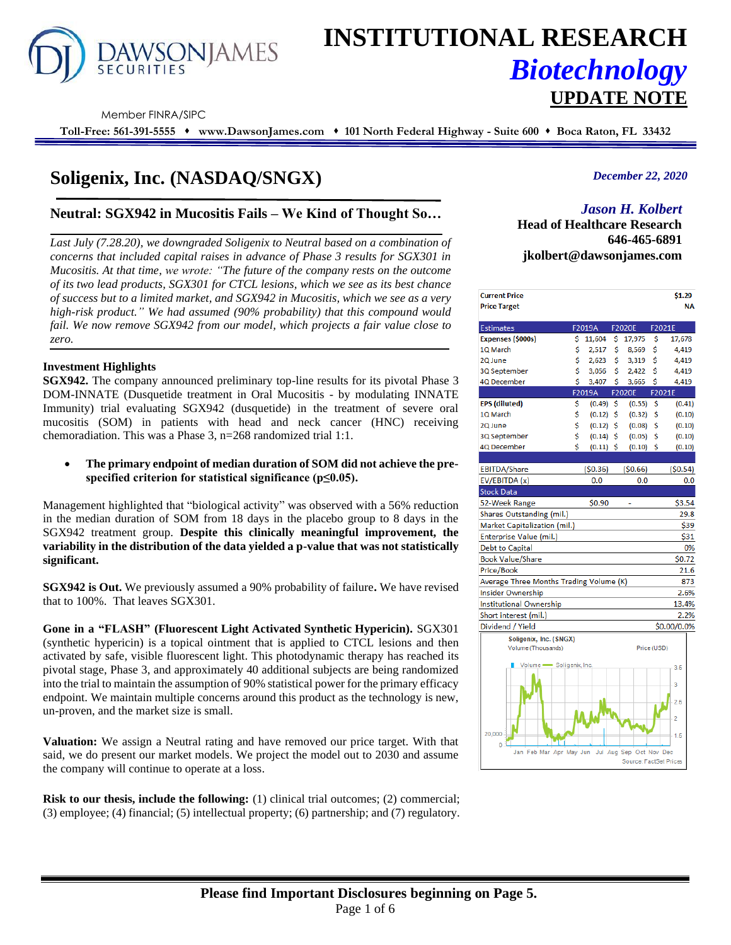

# **INSTITUTIONAL RESEARCH** *Biotechnology* **UPDATE NOTE**

Member FINRA/SIPC

**Toll-Free: 561-391-5555** ⬧ **www.DawsonJames.com** ⬧ **101 North Federal Highway - Suite 600** ⬧ **Boca Raton, FL 33432**

# **Soligenix, Inc. (NASDAQ/SNGX)**

# **Neutral: SGX942 in Mucositis Fails – We Kind of Thought So…**

*Last July (7.28.20), we downgraded Soligenix to Neutral based on a combination of concerns that included capital raises in advance of Phase 3 results for SGX301 in Mucositis. At that time, we wrote: "The future of the company rests on the outcome of its two lead products, SGX301 for CTCL lesions, which we see as its best chance of success but to a limited market, and SGX942 in Mucositis, which we see as a very high-risk product." We had assumed (90% probability) that this compound would fail. We now remove SGX942 from our model, which projects a fair value close to zero.*

#### **Investment Highlights**

**SGX942.** The company announced preliminary top-line results for its pivotal Phase 3 DOM-INNATE (Dusquetide treatment in Oral Mucositis - by modulating INNATE Immunity) trial evaluating SGX942 (dusquetide) in the treatment of severe oral mucositis (SOM) in patients with head and neck cancer (HNC) receiving chemoradiation. This was a Phase 3, n=268 randomized trial 1:1.

• **The primary endpoint of median duration of SOM did not achieve the prespecified criterion for statistical significance (p≤0.05).**

Management highlighted that "biological activity" was observed with a 56% reduction in the median duration of SOM from 18 days in the placebo group to 8 days in the SGX942 treatment group. **Despite this clinically meaningful improvement, the variability in the distribution of the data yielded a p-value that was not statistically significant.**

**SGX942 is Out.** We previously assumed a 90% probability of failure**.** We have revised that to 100%. That leaves SGX301.

**Gone in a "FLASH" (Fluorescent Light Activated Synthetic Hypericin).** SGX301 (synthetic hypericin) is a topical ointment that is applied to CTCL lesions and then activated by safe, visible fluorescent light. This photodynamic therapy has reached its pivotal stage, Phase 3, and approximately 40 additional subjects are being randomized into the trial to maintain the assumption of 90% statistical power for the primary efficacy endpoint. We maintain multiple concerns around this product as the technology is new, un-proven, and the market size is small.

**Valuation:** We assign a Neutral rating and have removed our price target. With that said, we do present our market models. We project the model out to 2030 and assume the company will continue to operate at a loss.

**Risk to our thesis, include the following:** (1) clinical trial outcomes; (2) commercial; (3) employee; (4) financial; (5) intellectual property; (6) partnership; and (7) regulatory.

# *December 22, 2020*

# *Jason H. Kolbert*

**Head of Healthcare Research 646-465-6891 jkolbert@dawsonjames.com**

| <b>Current Price</b><br><b>Price Target</b>     |    |             |    |                        |             | \$1.29<br><b>NA</b> |
|-------------------------------------------------|----|-------------|----|------------------------|-------------|---------------------|
| <b>Estimates</b>                                |    | F2019A      |    | F2020E                 | F2021E      |                     |
| Expenses (\$000s)                               | \$ | 11,604      | \$ | 17,975                 | \$          | 17,678              |
| 1Q March                                        | \$ | 2,517       | \$ | 8,569                  | \$          | 4,419               |
| 2Q June                                         | \$ | 2,623       | \$ | 3,319                  | \$          | 4,419               |
| 3Q September                                    | \$ | 3,056       | \$ | 2,422                  | \$          | 4,419               |
| 4Q December                                     | Ś  | 3,407       | Ś  | 3,665                  | Ś           | 4,419               |
|                                                 |    | F2019A      |    | <b>F2020E</b>          | F2021E      |                     |
| <b>EPS</b> (diluted)                            | Ś  | (0.49)      | -Ś | (0.55)                 | Ŝ           | (0.41)              |
| 1Q March                                        | \$ | (0.12)      | \$ | (0.32)                 | \$          | (0.10)              |
| 2Q June                                         | \$ | $(0.12)$ \$ |    | (0.08)                 | \$          | (0.10)              |
| 3Q September                                    | \$ | $(0.14)$ \$ |    | (0.05)                 | \$          | (0.10)              |
| 4Q December                                     | Ś  | $(0.11)$ \$ |    | $(0.10)$ \$            |             | (0.10)              |
|                                                 |    |             |    |                        |             |                     |
| <b>EBITDA/Share</b>                             |    | (50.36)     |    | (50.66)                |             | (50.54)             |
| EV/EBITDA (x)                                   |    | 0.0         |    | 0.0                    |             | 0.0                 |
| <b>Stock Data</b>                               |    |             |    |                        |             |                     |
| 52-Week Range                                   |    | \$0.90      |    |                        |             | \$3.54              |
| Shares Outstanding (mil.)                       |    |             |    |                        |             | 29.8                |
| Market Capitalization (mil.)                    |    |             |    |                        |             | \$39                |
| Enterprise Value (mil.)                         |    |             |    |                        |             | \$31                |
| <b>Debt to Capital</b>                          |    |             |    |                        |             | 0%                  |
| <b>Book Value/Share</b>                         |    |             |    |                        |             | \$0.72              |
| Price/Book                                      |    |             |    |                        |             | 21.6                |
| Average Three Months Trading Volume (K)         |    |             |    |                        |             | 873                 |
| <b>Insider Ownership</b>                        |    |             |    |                        |             | 2.6%                |
| <b>Institutional Ownership</b>                  |    |             |    |                        |             | 13.4%               |
| Short interest (mil.)                           |    |             |    |                        |             | 2.2%                |
| Dividend / Yield                                |    |             |    |                        |             | \$0.00/0.0%         |
| Soligenix, Inc. (SNGX)                          |    |             |    |                        |             |                     |
| Volume (Thousands)                              |    |             |    |                        | Price (USD) |                     |
| Volume Soligenix, Inc.                          |    |             |    |                        |             | 3.5                 |
|                                                 |    |             |    |                        |             |                     |
|                                                 |    |             |    |                        |             | 3                   |
|                                                 |    |             |    |                        |             | 2.5                 |
|                                                 |    |             |    |                        |             | $\overline{2}$      |
| 20,000<br>0 <sup>1</sup>                        |    |             |    |                        |             | 1.5                 |
| Jan Feb Mar Apr May Jun Jul Aug Sep Oct Nov Dec |    |             |    | Source: EactSet Prices |             |                     |
|                                                 |    |             |    |                        |             |                     |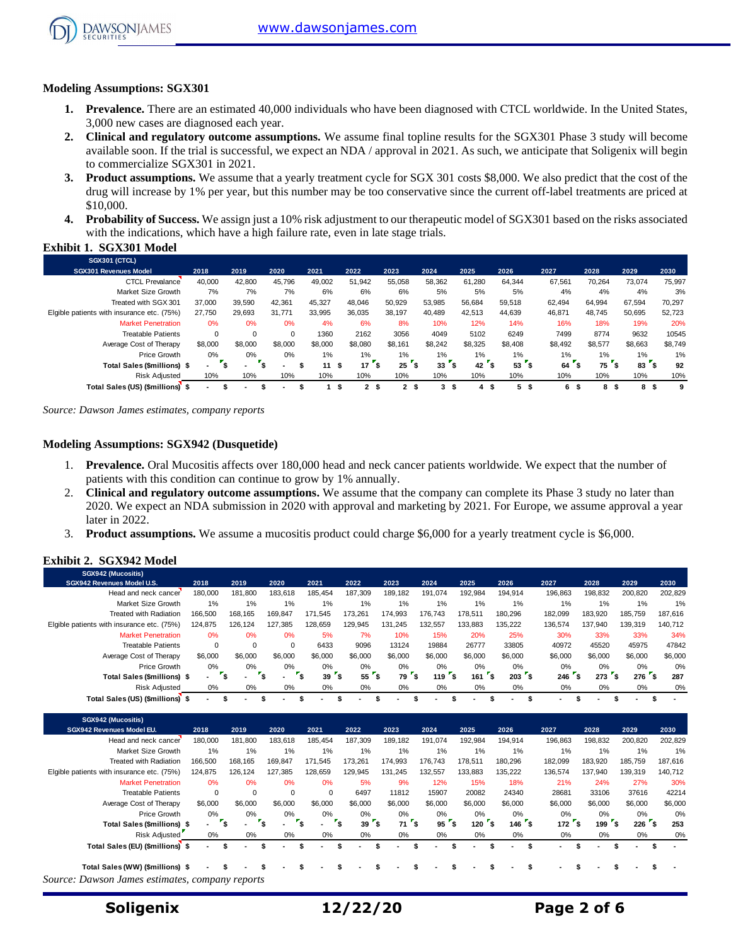

# **Modeling Assumptions: SGX301**

- **1. Prevalence.** There are an estimated 40,000 individuals who have been diagnosed with CTCL worldwide. In the United States, 3,000 new cases are diagnosed each year.
- **2. Clinical and regulatory outcome assumptions.** We assume final topline results for the SGX301 Phase 3 study will become available soon. If the trial is successful, we expect an NDA / approval in 2021. As such, we anticipate that Soligenix will begin to commercialize SGX301 in 2021.
- **3. Product assumptions.** We assume that a yearly treatment cycle for SGX 301 costs \$8,000. We also predict that the cost of the drug will increase by 1% per year, but this number may be too conservative since the current off-label treatments are priced at \$10,000.
- **4. Probability of Success.** We assign just a 10% risk adjustment to our therapeutic model of SGX301 based on the risks associated with the indications, which have a high failure rate, even in late stage trials.

# **Exhibit 1. SGX301 Model**

| <b>SGX301 (CTCL)</b>                       |         |                |          |         |   |                      |                |        |          |         |          |         |         |                       |         |
|--------------------------------------------|---------|----------------|----------|---------|---|----------------------|----------------|--------|----------|---------|----------|---------|---------|-----------------------|---------|
| <b>SGX301 Revenues Model</b>               | 2018    | 2019           | 2020     | 2021    |   | 2022                 | 2023           | 2024   |          | 2025    | 2026     | 2027    | 2028    | 2029                  | 2030    |
| <b>CTCL Prevalance</b>                     | 40,000  | 42.800         | 45.796   | 49.002  |   | 51,942               | 55,058         |        | 58,362   | 61,280  | 64.344   | 67,561  | 70.264  | 73.074                | 75,997  |
| Market Size Growth                         | 7%      | 7%             | 7%       | 6%      |   | 6%                   | 6%             |        | 5%       | 5%      | 5%       | 4%      | 4%      | 4%                    | 3%      |
| Treated with SGX 301                       | 37.000  | 39,590         | 42.361   | 45.327  |   | 48.046               | 50,929         | 53,985 |          | 56,684  | 59.518   | 62.494  | 64,994  | 67.594                | 70,297  |
| Elgible patients with insurance etc. (75%) | 27.750  | 29,693         | 31.771   | 33,995  |   | 36,035               | 38,197         | 40.489 |          | 42,513  | 44,639   | 46,871  | 48.745  | 50,695                | 52,723  |
| <b>Market Penetration</b>                  | 0%      | 0%             | 0%       | 4%      |   | 6%                   | 8%             |        | 10%      | 12%     | 14%      | 16%     | 18%     | 19%                   | 20%     |
| <b>Treatable Patients</b>                  | 0       | 0              | $\Omega$ | 1360    |   | 2162                 | 3056           |        | 4049     | 5102    | 6249     | 7499    | 8774    | 9632                  | 10545   |
| Average Cost of Therapy                    | \$8,000 | \$8,000        | \$8,000  | \$8,000 |   | \$8,080              | \$8.161        |        | \$8.242  | \$8.325 | \$8,408  | \$8.492 | \$8.577 | \$8.663               | \$8,749 |
| <b>Price Growth</b>                        | $0\%$   | 0%             | 0%       | 1%      |   | 1%                   | 1%             |        | 1%       | 1%      | $1\%$    | $1\%$   | 1%      | $1\%$                 | 1%      |
| Total Sales (\$millions) \$                |         | $\blacksquare$ |          | 11      | э | 17<br>\$             | 25             |        | 33       | 42      | \$<br>53 | 64      | 75<br>S | ء'<br>83 <sup>°</sup> | 92      |
| <b>Risk Adiusted</b>                       | 10%     | 10%            | 10%      | 10%     |   | 10%                  | 10%            |        | 10%      | 10%     | 10%      | 10%     | 10%     | 10%                   | 10%     |
| Total Sales (US) (\$millions) \$           |         |                |          |         |   | $\mathbf{2}$<br>- \$ | 2 <sup>5</sup> |        | 3<br>- 5 | 4<br>л  | 5<br>-S  | 6<br>л. | 8<br>S  | 8<br>л.               | 9       |

*Source: Dawson James estimates, company reports*

#### **Modeling Assumptions: SGX942 (Dusquetide)**

- 1. **Prevalence.** Oral Mucositis affects over 180,000 head and neck cancer patients worldwide. We expect that the number of patients with this condition can continue to grow by 1% annually.
- 2. **Clinical and regulatory outcome assumptions.** We assume that the company can complete its Phase 3 study no later than 2020. We expect an NDA submission in 2020 with approval and marketing by 2021. For Europe, we assume approval a year later in 2022.
- 3. **Product assumptions.** We assume a mucositis product could charge \$6,000 for a yearly treatment cycle is \$6,000.

#### **Exhibit 2. SGX942 Model**

| SGX942 (Mucositis)                         |                          |         |                          |           |         |                |                     |         |                          |         |           |                 |                          |
|--------------------------------------------|--------------------------|---------|--------------------------|-----------|---------|----------------|---------------------|---------|--------------------------|---------|-----------|-----------------|--------------------------|
| SGX942 Revenues Model U.S.                 | 2018                     | 2019    | 2020                     | 2021      | 2022    | 2023           | 2024                | 2025    | 2026                     | 2027    | 2028      | 2029            | 2030                     |
| Head and neck cancer                       | 180.000                  | 181.800 | 183.618                  | 185.454   | 187.309 | 189.182        | 191.074             | 192.984 | 194.914                  | 196,863 | 198.832   | 200.820         | 202,829                  |
| Market Size Growth                         | 1%                       | 1%      | 1%                       | 1%        | $1\%$   | 1%             | 1%                  | 1%      | 1%                       | 1%      | 1%        | 1%              | 1%                       |
| <b>Treated with Radiation</b>              | 166,500                  | 168,165 | 169.847                  | 171.545   | 173.261 | 174.993        | 176.743             | 178.511 | 180.296                  | 182.099 | 183.920   | 185.759         | 187,616                  |
| Elgible patients with insurance etc. (75%) | 124,875                  | 126.124 | 127.385                  | 128.659   | 129.945 | 131.245        | 132.557             | 133.883 | 135.222                  | 136.574 | 137.940   | 139.319         | 140,712                  |
| <b>Market Penetration</b>                  | 0%                       | 0%      | 0%                       | 5%        | 7%      | 10%            | 15%                 | 20%     | 25%                      | 30%     | 33%       | 33%             | 34%                      |
| <b>Treatable Patients</b>                  | 0                        | 0       | $\Omega$                 | 6433      | 9096    | 13124          | 19884               | 26777   | 33805                    | 40972   | 45520     | 45975           | 47842                    |
| Average Cost of Therapy                    | \$6,000                  | \$6,000 | \$6,000                  | \$6,000   | \$6,000 | \$6,000        | \$6,000             | \$6,000 | \$6,000                  | \$6,000 | \$6,000   | \$6,000         | \$6,000                  |
| Price Growth                               | 0%                       | $0\%$   | $0\%$                    | 0%        | $0\%$   | 0%             | $0\%$               | $0\%$   | 0%                       | 0%      | 0%        | 0%              | 0%                       |
| <b>Total Sales (\$millions) \$</b>         | . .                      | ۰.      |                          | '\$<br>39 | 55      | 79<br>ъ        | $\mathbf{A}$<br>119 | 161     | '\$<br>203               | 246     | ิร<br>273 | 276<br><b>S</b> | 287                      |
| <b>Risk Adjusted</b>                       | 0%                       | 0%      | $0\%$                    | 0%        | $0\%$   | 0%             | 0%                  | 0%      | 0%                       | 0%      | 0%        | 0%              | 0%                       |
| Total Sales (US) (\$millions)              | $\overline{\phantom{a}}$ |         | $\overline{\phantom{a}}$ |           |         | $\blacksquare$ | ٠                   |         | $\overline{\phantom{a}}$ | . .     | $\sim$    |                 | $\overline{\phantom{a}}$ |

| SGX942 (Mucositis)                              |             |                |         |         |         |          |           |         |                        |         |            |                               |         |
|-------------------------------------------------|-------------|----------------|---------|---------|---------|----------|-----------|---------|------------------------|---------|------------|-------------------------------|---------|
| <b>SGX942 Revenues Model EU.</b>                | 2018        | 2019           | 2020    | 2021    | 2022    | 2023     | 2024      | 2025    | 2026                   | 2027    | 2028       | 2029                          | 2030    |
| Head and neck cancer                            | 180,000     | 181,800        | 183,618 | 185,454 | 187,309 | 189,182  | 191,074   | 192,984 | 194.914                | 196,863 | 198,832    | 200,820                       | 202,829 |
| Market Size Growth                              | 1%          | $1\%$          | 1%      | 1%      | $1\%$   | 1%       | 1%        | 1%      | $1\%$                  | 1%      | 1%         | 1%                            | 1%      |
| <b>Treated with Radiation</b>                   | 166,500     | 168,165        | 169,847 | 171,545 | 173,261 | 174,993  | 176,743   | 178.511 | 180.296                | 182,099 | 183,920    | 185,759                       | 187,616 |
| Elgible patients with insurance etc. (75%)      | 124,875     | 126,124        | 127,385 | 128,659 | 129,945 | 131,245  | 132,557   | 133,883 | 135,222                | 136,574 | 137,940    | 139,319                       | 140,712 |
| <b>Market Penetration</b>                       | 0%          | 0%             | 0%      | 0%      | 5%      | 9%       | 12%       | 15%     | 18%                    | 21%     | 24%        | 27%                           | 30%     |
| <b>Treatable Patients</b>                       | $\mathbf 0$ | $\mathbf 0$    | 0       | 0       | 6497    | 11812    | 15907     | 20082   | 24340                  | 28681   | 33106      | 37616                         | 42214   |
| Average Cost of Therapy                         | \$6,000     | \$6,000        | \$6,000 | \$6,000 | \$6,000 | \$6,000  | \$6,000   | \$6,000 | \$6,000                | \$6,000 | \$6,000    | \$6,000                       | \$6,000 |
| Price Growth                                    | 0%          | $0\%$          | $0\%$   | $0\%$   | $0\%$   | $0\%$    | 0%        | $0\%$   | 0%                     | 0%      | $0\%$      | $0\%$                         | 0%      |
| Total Sales (\$millions) \$                     | . .         | $\blacksquare$ |         |         | 39      | ٠s<br>71 | ۰\$<br>95 | 120     | 146 <sup>5</sup><br>'s | 172     | ۰s.<br>199 | $\cdot$ s<br>226 <sup>5</sup> | 253     |
| <b>Risk Adjusted</b>                            | 0%          | 0%             | 0%      | 0%      | $0\%$   | 0%       | 0%        | 0%      | 0%                     | 0%      | $0\%$      | $0\%$                         | 0%      |
| Total Sales (EU) (\$millions) \$                |             |                |         |         |         |          |           | ٠       | ۰.                     |         |            |                               | ж       |
|                                                 |             |                |         |         |         |          |           |         |                        |         |            |                               |         |
| Total Sales (WW) (\$millions) \$                |             |                |         |         |         |          |           |         |                        |         |            |                               |         |
| Source: Dawson James estimates, company reports |             |                |         |         |         |          |           |         |                        |         |            |                               |         |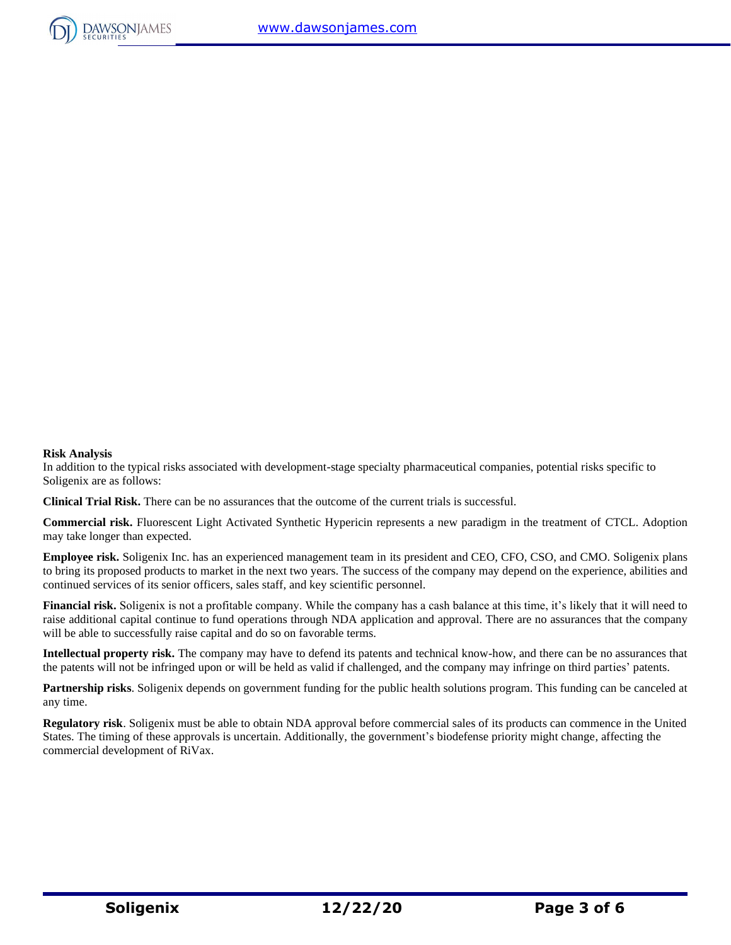

#### **Risk Analysis**  In addition to the typical risks associated with development-stage specialty pharmaceutical companies, potential risks specific to Soligenix are as follows:

**Clinical Trial Risk.** There can be no assurances that the outcome of the current trials is successful.

**Commercial risk.** Fluorescent Light Activated Synthetic Hypericin represents a new paradigm in the treatment of CTCL. Adoption may take longer than expected.

**Employee risk.** Soligenix Inc. has an experienced management team in its president and CEO, CFO, CSO, and CMO. Soligenix plans to bring its proposed products to market in the next two years. The success of the company may depend on the experience, abilities and continued services of its senior officers, sales staff, and key scientific personnel.

**Financial risk.** Soligenix is not a profitable company. While the company has a cash balance at this time, it's likely that it will need to raise additional capital continue to fund operations through NDA application and approval. There are no assurances that the company will be able to successfully raise capital and do so on favorable terms.

**Intellectual property risk.** The company may have to defend its patents and technical know-how, and there can be no assurances that the patents will not be infringed upon or will be held as valid if challenged, and the company may infringe on third parties' patents.

**Partnership risks**. Soligenix depends on government funding for the public health solutions program. This funding can be canceled at any time.

**Regulatory risk**. Soligenix must be able to obtain NDA approval before commercial sales of its products can commence in the United States. The timing of these approvals is uncertain. Additionally, the government's biodefense priority might change, affecting the commercial development of RiVax.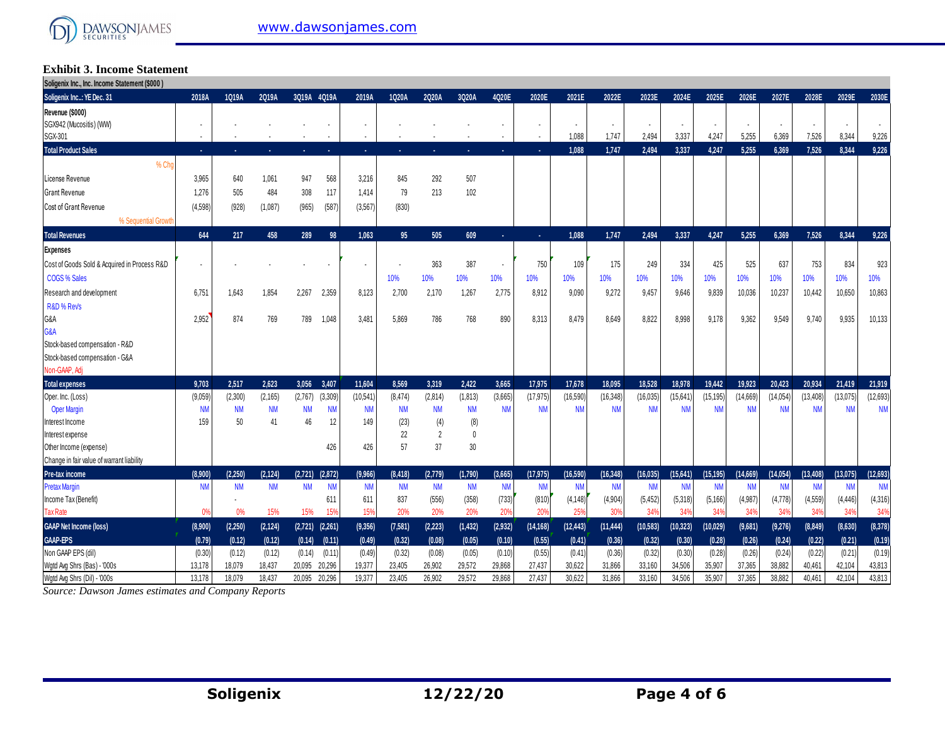#### **Exhibit 3. Income Statement Soligenix Inc., Inc. Income Statement (\$000 )**

| $ \, 1.1 \ldots 1$                           |           |           |           |                     |           |                          |           |           |           |                |           |           |           |                          |                |           |                |           |           |           |           |
|----------------------------------------------|-----------|-----------|-----------|---------------------|-----------|--------------------------|-----------|-----------|-----------|----------------|-----------|-----------|-----------|--------------------------|----------------|-----------|----------------|-----------|-----------|-----------|-----------|
| Soligenix Inc: YE Dec. 31                    | 2018A     | 1Q19A     | 2Q19A     | 3Q19A 4Q19A         |           | 2019A                    | 1Q20A     | 2Q20A     | 3Q20A     | 4Q20E          | 2020E     | 2021E     | 2022E     | 2023E                    | 2024E          | 2025E     | 2026E          | 2027E     | 2028E     | 2029E     | 2030E     |
| Revenue (\$000)                              |           |           |           |                     |           |                          |           |           |           |                |           |           |           |                          |                |           |                |           |           |           |           |
| SGX942 (Mucositis) (WW)                      |           |           |           |                     |           | $\overline{\phantom{a}}$ |           |           |           | ٠              |           |           |           | $\overline{\phantom{a}}$ | $\blacksquare$ |           | $\blacksquare$ |           |           |           |           |
| SGX-301                                      |           |           |           |                     |           | $\overline{\phantom{a}}$ |           |           |           |                |           | 1,088     | 1,747     | 2,494                    | 3,337          | 4,247     | 5,255          | 6,369     | 7,526     | 8,344     | 9,226     |
| <b>Total Product Sales</b>                   | ×.        |           |           | ×.                  |           | ×.                       |           |           |           | ×.             |           | 1.088     | 1.747     | 2.494                    | 3.337          | 4.247     | 5.255          | 6.369     | 7.526     | 8.344     | 9.226     |
| % Cho                                        |           |           |           |                     |           |                          |           |           |           |                |           |           |           |                          |                |           |                |           |           |           |           |
| License Revenue                              | 3,965     | 640       | 1,061     | 947                 | 568       | 3,216                    | 845       | 292       | 507       |                |           |           |           |                          |                |           |                |           |           |           |           |
| Grant Revenue                                | 1.276     | 505       | 484       | 308                 | 117       | 1.414                    | 79        | 213       | 102       |                |           |           |           |                          |                |           |                |           |           |           |           |
| Cost of Grant Revenue                        | (4,598)   | (928)     | (1,087)   | (965)               | (587)     | (3, 567)                 | (830)     |           |           |                |           |           |           |                          |                |           |                |           |           |           |           |
| % Sequential Growth                          |           |           |           |                     |           |                          |           |           |           |                |           |           |           |                          |                |           |                |           |           |           |           |
| <b>Total Revenues</b>                        | 644       | 217       | 458       | 289                 | 98        | 1.063                    | 95        | 505       | 609       | ×.             | ×.        | 1.088     | 1.747     | 2.494                    | 3.337          | 4.247     | 5.255          | 6.369     | 7.526     | 8,344     | 9,226     |
| <b>Expenses</b>                              |           |           |           |                     |           |                          |           |           |           |                |           |           |           |                          |                |           |                |           |           |           |           |
| Cost of Goods Sold & Acquired in Process R&D |           |           |           |                     |           |                          |           | 363       | 387       | $\blacksquare$ | 750       | 109       | 175       | 249                      | 334            | 425       | 525            | 637       | 753       | 834       | 923       |
| COGS % Sales                                 |           |           |           |                     |           |                          | 10%       | 10%       | 10%       | 10%            | 10%       | 10%       | 10%       | 10%                      | 10%            | 10%       | 10%            | 10%       | 10%       | 10%       | 10%       |
| Research and development                     | 6.75'     | 1.643     | 1,854     | 2,267               | 2,359     | 8,123                    | 2,700     | 2,170     | 1,267     | 2,775          | 8,912     | 9.090     | 9.272     | 9.457                    | 9.646          | 9.839     | 10.036         | 10,237    | 10,442    | 10,650    | 10,863    |
| R&D % Revs                                   |           |           |           |                     |           |                          |           |           |           |                |           |           |           |                          |                |           |                |           |           |           |           |
| G&A                                          | 2,952     | 874       | 769       | 789                 | 1,048     | 3,48'                    | 5,869     | 786       | 768       | 890            | 8,313     | 8,479     | 8,649     | 8,822                    | 8,998          | 9,178     | 9,362          | 9,549     | 9,740     | 9,935     | 10,133    |
| G&A                                          |           |           |           |                     |           |                          |           |           |           |                |           |           |           |                          |                |           |                |           |           |           |           |
| Stock-based compensation - R&D               |           |           |           |                     |           |                          |           |           |           |                |           |           |           |                          |                |           |                |           |           |           |           |
| Stock-based compensation - G&A               |           |           |           |                     |           |                          |           |           |           |                |           |           |           |                          |                |           |                |           |           |           |           |
| Non-GAAP, Adj                                |           |           |           |                     |           |                          |           |           |           |                |           |           |           |                          |                |           |                |           |           |           |           |
| <b>Total expenses</b>                        | 9,703     | 2,517     | 2.623     | 3,056               | 3,407     | 11.604                   | 8,569     | 3,319     | 2.422     | 3,665          | 17,975    | 17,678    | 18,095    | 18,528                   | 18.978         | 19,442    | 19,923         | 20.423    | 20,934    | 21,419    | 21,919    |
| Oper. Inc. (Loss)                            | (9,059)   | (2,300)   | (2, 165)  | (2,767)             | (3,309)   | (10, 541)                | (8,474)   | (2,814)   | (1, 813)  | (3,665)        | (17, 975) | (16,590)  | (16, 348) | (16, 035)                | (15,641)       | (15, 195) | (14, 669)      | (14,054)  | (13, 408) | (13,075)  | (12, 693) |
| <b>Oper Margin</b>                           | <b>NN</b> | <b>NM</b> | <b>NM</b> | <b>NM</b>           | <b>NM</b> | <b>NM</b>                | <b>NM</b> | <b>NM</b> | <b>NM</b> | <b>NM</b>      | <b>NM</b> | <b>NM</b> | <b>NM</b> | <b>NM</b>                | <b>NM</b>      | <b>NM</b> | <b>NM</b>      | <b>NM</b> | <b>NM</b> | <b>NM</b> | <b>NM</b> |
| Interest Income                              | 159       | 50        | 41        | 46                  | 12        | 149                      | (23)      | (4)       | (8)       |                |           |           |           |                          |                |           |                |           |           |           |           |
| Interest expense                             |           |           |           |                     |           |                          | 22        | 2         | 0         |                |           |           |           |                          |                |           |                |           |           |           |           |
| Other Income (expense)                       |           |           |           |                     | 426       | 426                      | 57        | 37        | 30        |                |           |           |           |                          |                |           |                |           |           |           |           |
| Change in fair value of warrant liability    |           |           |           |                     |           |                          |           |           |           |                |           |           |           |                          |                |           |                |           |           |           |           |
| Pre-tax income                               | (8.900)   | (2.250)   | (2.124)   | (2.721)             | (2,872)   | (9,966)                  | (8, 418)  | (2,779)   | (1,790)   | (3,665)        | (17.975)  | (16.590)  | (16.348)  | 16.035                   | 15,641)        | (15.195)  | (14, 669)      | (14.054)  | (13, 408) | (13,075)  | (12, 693) |
| <b>Pretax Margin</b>                         | <b>NM</b> | <b>NM</b> | <b>NM</b> | <b>NM</b>           | <b>NM</b> | <b>NM</b>                | <b>NM</b> | <b>NM</b> | <b>NM</b> | <b>NM</b>      | <b>NM</b> | <b>NM</b> | <b>NM</b> | <b>NM</b>                | <b>NM</b>      | <b>NM</b> | <b>NM</b>      | <b>NM</b> | <b>NN</b> | <b>NM</b> | <b>NM</b> |
| Income Tax (Benefit)                         |           |           |           |                     | 611       | 611                      | 837       | (556)     | (358)     | (733)          | (810)     | (4, 148)  | (4,904)   | (5, 452)                 | (5,318)        | (5, 166)  | (4,987)        | (4,778)   | (4,559)   | (4, 446)  | (4,316)   |
| <b>Tax Rate</b>                              | 0%        | 0%        | 15%       | 15%                 | 15%       | 15%                      | 20%       | 20%       | 20%       | 20%            | 20%       | 259       | 30%       | 34%                      | 34%            | 34%       | 34%            | 34%       | 34%       | 34%       | 34%       |
| <b>GAAP Net Income (loss)</b>                | (8,900)   | (2, 250)  | (2, 124)  | $(2,721)$ $(2,261)$ |           | (9, 356)                 | (7,581)   | (2, 223)  | (1,432)   | (2,932)        | (14, 168) | (12, 443) | (11, 444) | (10, 583)                | (10, 323)      | (10, 029) | (9,681)        | (9,276)   | (8, 849)  | (8,630)   | (8, 378)  |
| GAAP-EPS                                     | (0.79)    | (0.12)    | (0.12)    | (0.14)              | (0.11)    | (0.49)                   | (0.32)    | (0.08)    | (0.05)    | (0.10)         | (0.55)    | (0.41)    | (0.36)    | (0.32)                   | (0.30)         | (0.28)    | (0.26)         | (0.24)    | (0.22)    | (0.21)    | (0.19)    |
| Non GAAP EPS (dil)                           | (0.30)    | (0.12)    | (0.12)    | (0.14)              | (0.11)    | (0.49)                   | (0.32)    | (0.08)    | (0.05)    | (0.10)         | (0.55)    | (0.41)    | (0.36)    | (0.32)                   | (0.30)         | (0.28)    | (0.26)         | (0.24)    | (0.22)    | (0.21)    | (0.19)    |
| Wgtd Avg Shrs (Bas) - '000s                  | 13,178    | 18,079    | 18,437    | 20,095              | 20,296    | 19,377                   | 23,405    | 26,902    | 29,572    | 29,868         | 27,437    | 30,622    | 31,866    | 33,160                   | 34,506         | 35,907    | 37,365         | 38,882    | 40,461    | 42,104    | 43,813    |
| Watd Ava Shrs (Dil) - '000s                  | 13,178    | 18.079    | 18,437    | 20,095              | 20.296    | 19.377                   | 23.405    | 26.902    | 29.572    | 29,868         | 27,437    | 30.622    | 31.866    | 33,160                   | 34.506         | 35.907    | 37.365         | 38.882    | 40.461    | 42.104    | 43.813    |

*Source: Dawson James estimates and Company Reports*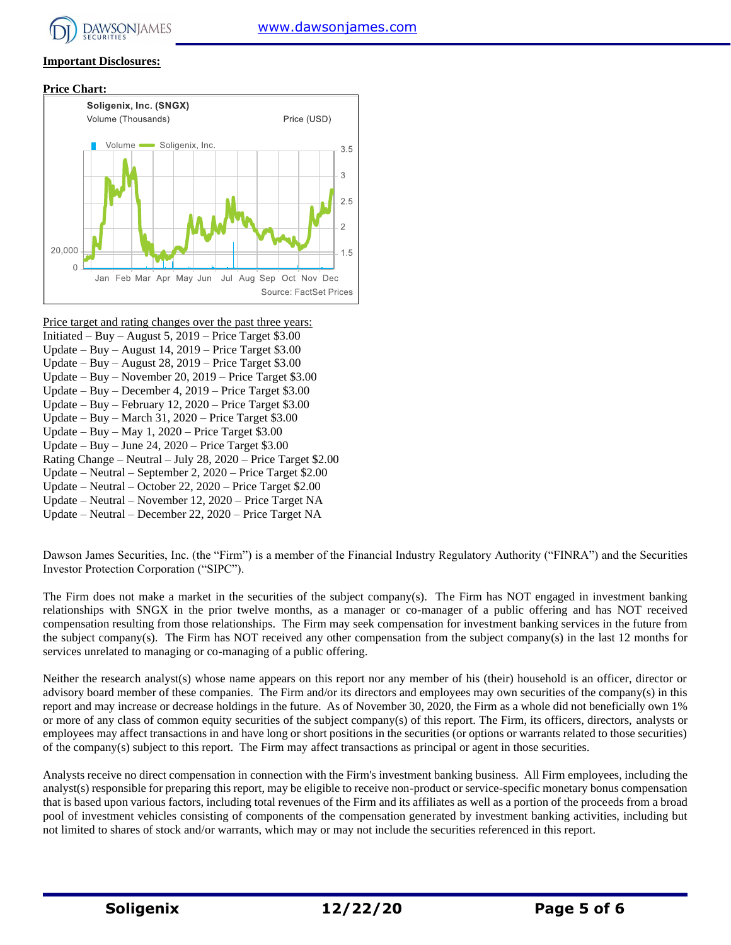# **Important Disclosures:**





Price target and rating changes over the past three years:

- Initiated Buy August 5,  $2019$  Price Target \$3.00
- Update Buy August 14, 2019 Price Target \$3.00
- Update Buy August 28, 2019 Price Target \$3.00
- Update Buy November 20, 2019 Price Target \$3.00
- Update Buy December 4, 2019 Price Target \$3.00 Update – Buy – February 12, 2020 – Price Target \$3.00
- Update Buy March 31, 2020 Price Target \$3.00
- Update Buy May 1, 2020 Price Target \$3.00
- Update Buy June 24, 2020 Price Target \$3.00
- Rating Change Neutral July 28, 2020 Price Target \$2.00
- Update Neutral September 2, 2020 Price Target \$2.00
- Update Neutral October 22, 2020 Price Target \$2.00
- Update Neutral November 12, 2020 Price Target NA
- Update Neutral December 22, 2020 Price Target NA

Dawson James Securities, Inc. (the "Firm") is a member of the Financial Industry Regulatory Authority ("FINRA") and the Securities Investor Protection Corporation ("SIPC").

The Firm does not make a market in the securities of the subject company(s). The Firm has NOT engaged in investment banking relationships with SNGX in the prior twelve months, as a manager or co-manager of a public offering and has NOT received compensation resulting from those relationships. The Firm may seek compensation for investment banking services in the future from the subject company(s). The Firm has NOT received any other compensation from the subject company(s) in the last 12 months for services unrelated to managing or co-managing of a public offering.

Neither the research analyst(s) whose name appears on this report nor any member of his (their) household is an officer, director or advisory board member of these companies. The Firm and/or its directors and employees may own securities of the company(s) in this report and may increase or decrease holdings in the future. As of November 30, 2020, the Firm as a whole did not beneficially own 1% or more of any class of common equity securities of the subject company(s) of this report. The Firm, its officers, directors, analysts or employees may affect transactions in and have long or short positions in the securities (or options or warrants related to those securities) of the company(s) subject to this report. The Firm may affect transactions as principal or agent in those securities.

Analysts receive no direct compensation in connection with the Firm's investment banking business. All Firm employees, including the analyst(s) responsible for preparing this report, may be eligible to receive non-product or service-specific monetary bonus compensation that is based upon various factors, including total revenues of the Firm and its affiliates as well as a portion of the proceeds from a broad pool of investment vehicles consisting of components of the compensation generated by investment banking activities, including but not limited to shares of stock and/or warrants, which may or may not include the securities referenced in this report.